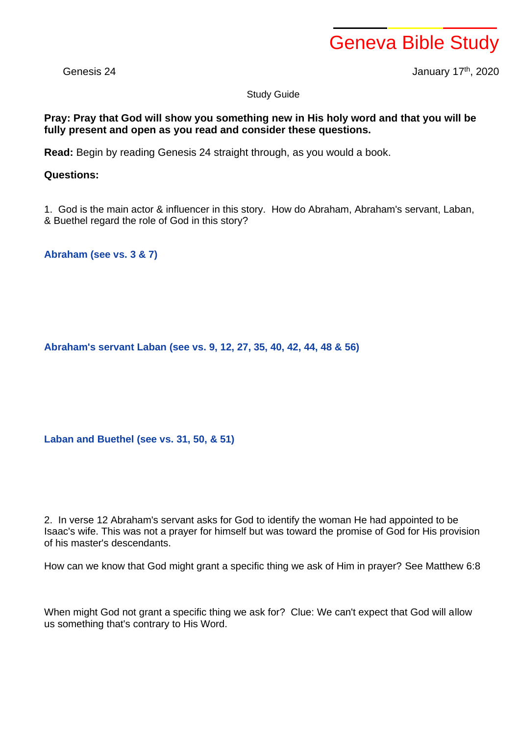## Geneva Bible Study

Genesis 24 January 17th, 2020

Study Guide

## **Pray: Pray that God will show you something new in His holy word and that you will be fully present and open as you read and consider these questions.**

**Read:** Begin by reading Genesis 24 straight through, as you would a book.

## **Questions:**

1. God is the main actor & influencer in this story. How do Abraham, Abraham's servant, Laban, & Buethel regard the role of God in this story?

**Abraham (see vs. 3 & 7)**

**Abraham's servant Laban (see vs. 9, 12, 27, 35, 40, 42, 44, 48 & 56)**

**Laban and Buethel (see vs. 31, 50, & 51)**

2. In verse 12 Abraham's servant asks for God to identify the woman He had appointed to be Isaac's wife. This was not a prayer for himself but was toward the promise of God for His provision of his master's descendants.

How can we know that God might grant a specific thing we ask of Him in prayer? See Matthew 6:8

When might God not grant a specific thing we ask for? Clue: We can't expect that God will allow us something that's contrary to His Word.